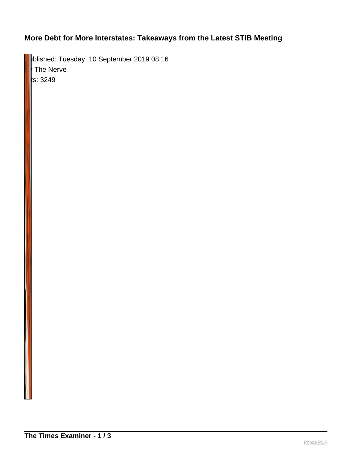## **More Debt for More Interstates: Takeaways from the Latest STIB Meeting**

**pblished: Tuesday, 10 September 2019 08:16**  $\vert$  The Nerve  $\vert$ ls: 3249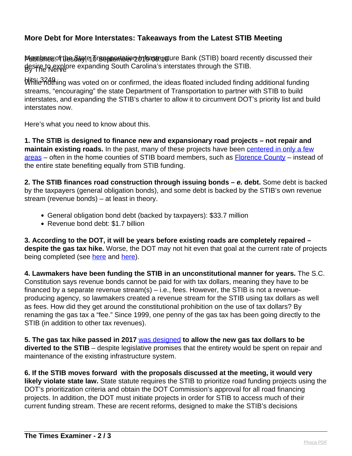## **More Debt for More Interstates: Takeaways from the Latest STIB Meeting**

Membrea.of the State Transportation Information Bank (STIB) board recently discussed their By The Nerve desire to explore expanding South Carolina's interstates through the STIB.

Hits: 3249 While nothing was voted on or confirmed, the ideas floated included finding additional funding streams, "encouraging" the state Department of Transportation to partner with STIB to build interstates, and expanding the STIB's charter to allow it to circumvent DOT's priority list and build interstates now.

Here's what you need to know about this.

**1. The STIB is designed to finance new and expansionary road projects – not repair and maintain existing roads.** In the past, many of these projects have been [centered in only a few](https://thenerve.org/wealthier-more-connected-counties-get-big-road-projects/) [areas](https://thenerve.org/wealthier-more-connected-counties-get-big-road-projects/) – often in the home counties of STIB board members, such as [Florence County](https://thenerve.org/infrastructure-bank-payments-flow-to-leathermans-county/) – instead of the entire state benefiting equally from STIB funding.

**2. The STIB finances road construction through issuing bonds – e. debt.** Some debt is backed by the taxpayers (general obligation bonds), and some debt is backed by the STIB's own revenue stream (revenue bonds) – at least in theory.

- General obligation bond debt (backed by taxpayers): \$33.7 million
- Revenue bond debt: \$1.7 billion

**3. According to the DOT, it will be years before existing roads are completely repaired – despite the gas tax hike.** Worse, the DOT may not hit even that goal at the current rate of projects being completed (see [here](https://thenerve.org/fixing-scs-bad-roads-bridges-could-take-longer-than-a-decade/) and [here](https://thenerve.org/scdot-plan-would-make-small-dent-in-fixing-bad-state-roads/)).

**4. Lawmakers have been funding the STIB in an unconstitutional manner for years.** The S.C. Constitution says revenue bonds cannot be paid for with tax dollars, meaning they have to be financed by a separate revenue stream(s) – i.e., fees. However, the STIB is not a revenueproducing agency, so lawmakers created a revenue stream for the STIB using tax dollars as well as fees. How did they get around the constitutional prohibition on the use of tax dollars? By renaming the gas tax a "fee." Since 1999, one penny of the gas tax has been going directly to the STIB (in addition to other tax revenues).

**5. The gas tax hike passed in 2017** [was designed](https://scpolicycouncil.org/legislation/taxes-legislation/gas-tax-stib) **to allow the new gas tax dollars to be diverted to the STIB** – despite legislative promises that the entirety would be spent on repair and maintenance of the existing infrastructure system.

**6. If the STIB moves forward with the proposals discussed at the meeting, it would very likely violate state law.** State statute requires the STIB to prioritize road funding projects using the DOT's prioritization criteria and obtain the DOT Commission's approval for all road financing projects. In addition, the DOT must initiate projects in order for STIB to access much of their current funding stream. These are recent reforms, designed to make the STIB's decisions